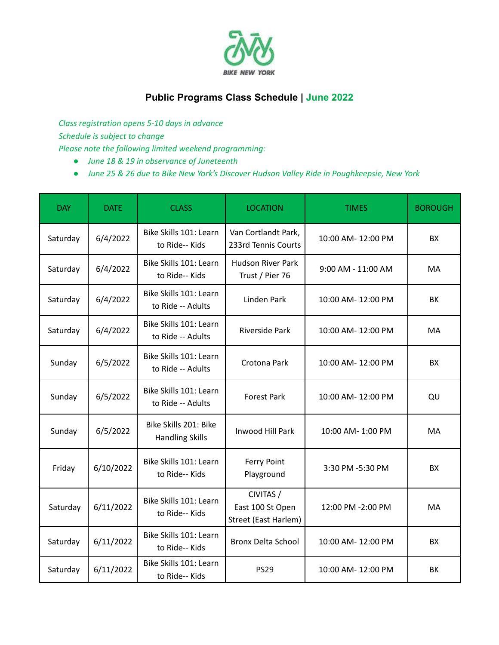

## **Public Programs Class Schedule | June 2022**

*Class registration opens 5-10 days in advance Schedule is subject to change Please note the following limited weekend programming:*

- *● June 18 & 19 in observance of Juneteenth*
- *● June 25 & 26 due to Bike New York's Discover Hudson Valley Ride in Poughkeepsie, New York*

| <b>DAY</b> | <b>DATE</b> | <b>CLASS</b>                                    | <b>LOCATION</b>                                       | <b>TIMES</b>       | <b>BOROUGH</b> |
|------------|-------------|-------------------------------------------------|-------------------------------------------------------|--------------------|----------------|
| Saturday   | 6/4/2022    | Bike Skills 101: Learn<br>to Ride-- Kids        | Van Cortlandt Park,<br>233rd Tennis Courts            | 10:00 AM- 12:00 PM | <b>BX</b>      |
| Saturday   | 6/4/2022    | Bike Skills 101: Learn<br>to Ride-- Kids        | <b>Hudson River Park</b><br>Trust / Pier 76           | 9:00 AM - 11:00 AM | МA             |
| Saturday   | 6/4/2022    | Bike Skills 101: Learn<br>to Ride -- Adults     | Linden Park                                           | 10:00 AM-12:00 PM  | BK             |
| Saturday   | 6/4/2022    | Bike Skills 101: Learn<br>to Ride -- Adults     | <b>Riverside Park</b>                                 | 10:00 AM- 12:00 PM | MA             |
| Sunday     | 6/5/2022    | Bike Skills 101: Learn<br>to Ride -- Adults     | Crotona Park                                          | 10:00 AM-12:00 PM  | <b>BX</b>      |
| Sunday     | 6/5/2022    | Bike Skills 101: Learn<br>to Ride -- Adults     | <b>Forest Park</b>                                    | 10:00 AM- 12:00 PM | QU             |
| Sunday     | 6/5/2022    | Bike Skills 201: Bike<br><b>Handling Skills</b> | <b>Inwood Hill Park</b>                               | 10:00 AM- 1:00 PM  | MA             |
| Friday     | 6/10/2022   | Bike Skills 101: Learn<br>to Ride-- Kids        | <b>Ferry Point</b><br>Playground                      | 3:30 PM -5:30 PM   | <b>BX</b>      |
| Saturday   | 6/11/2022   | Bike Skills 101: Learn<br>to Ride-- Kids        | CIVITAS /<br>East 100 St Open<br>Street (East Harlem) | 12:00 PM -2:00 PM  | MA             |
| Saturday   | 6/11/2022   | Bike Skills 101: Learn<br>to Ride-- Kids        | <b>Bronx Delta School</b>                             | 10:00 AM- 12:00 PM | <b>BX</b>      |
| Saturday   | 6/11/2022   | Bike Skills 101: Learn<br>to Ride-- Kids        | <b>PS29</b>                                           | 10:00 AM- 12:00 PM | BK             |